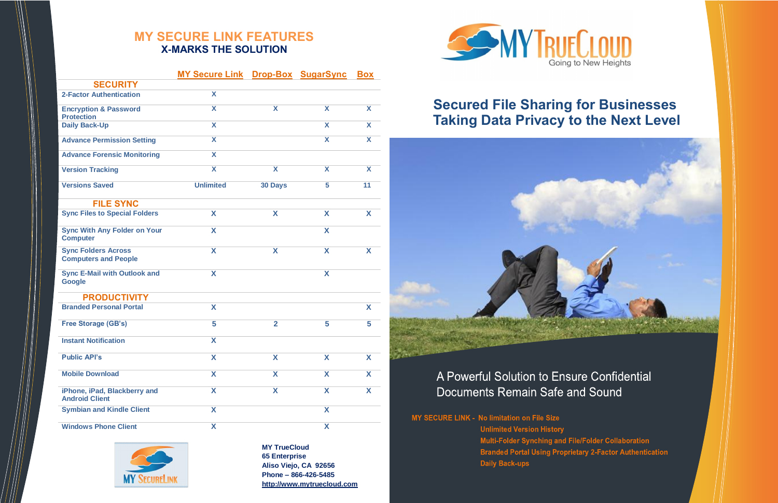**MY TrueCloud 65 Enterprise Aliso Viejo, CA 92656 Phone – 866-426-5485 [http://www.mytruecloud.com](http://www.mytruecloud.com/)**



|                                                           | MY Secure Link Drop-Box SugarSync |                |   | <b>Box</b> |
|-----------------------------------------------------------|-----------------------------------|----------------|---|------------|
| <b>SECURITY</b>                                           |                                   |                |   |            |
| <b>2-Factor Authentication</b>                            | X                                 |                |   |            |
| <b>Encryption &amp; Password</b><br><b>Protection</b>     | X                                 | X              | X | X          |
| <b>Daily Back-Up</b>                                      | X                                 |                | X | X.         |
| <b>Advance Permission Setting</b>                         | X                                 |                | X | X          |
| <b>Advance Forensic Monitoring</b>                        | X                                 |                |   |            |
| <b>Version Tracking</b>                                   | X                                 | X              | X | X          |
| <b>Versions Saved</b>                                     | <b>Unlimited</b>                  | <b>30 Days</b> | 5 | 11         |
| <b>FILE SYNC</b>                                          |                                   |                |   |            |
| <b>Sync Files to Special Folders</b>                      | X                                 | X              | X | X          |
| <b>Sync With Any Folder on Your</b><br><b>Computer</b>    | X                                 |                | X |            |
| <b>Sync Folders Across</b><br><b>Computers and People</b> | X                                 | X              | X | X          |
| <b>Sync E-Mail with Outlook and</b><br>Google             | X                                 |                | X |            |
| <b>PRODUCTIVITY</b>                                       |                                   |                |   |            |
| <b>Branded Personal Portal</b>                            | X                                 |                |   | X          |
| <b>Free Storage (GB's)</b>                                | 5                                 | $\overline{2}$ | 5 | 5          |
| <b>Instant Notification</b>                               | X                                 |                |   |            |
| <b>Public API's</b>                                       | X                                 | X              | X | X          |
| <b>Mobile Download</b>                                    | X                                 | X              | X | X          |
| iPhone, iPad, Blackberry and<br><b>Android Client</b>     | X                                 | X              | X | X          |
| <b>Symbian and Kindle Client</b>                          | X                                 |                | X |            |
| <b>Windows Phone Client</b>                               | X                                 |                | X |            |



# **Secured File Sharing for Businesses Taking Data Privacy to the Next Level**



## A Powerful Solution to Ensure Confidential Documents Remain Safe and Sound

MY SECURE LINK - No limitation on File Size **Unlimited Version History** Multi-Folder Synching and File/Folder Collaboration **Branded Portal Using Proprietary 2-Factor Authentication Daily Back-ups** 

### **MY SECURE LINK FEATURES X-MARKS THE SOLUTION**